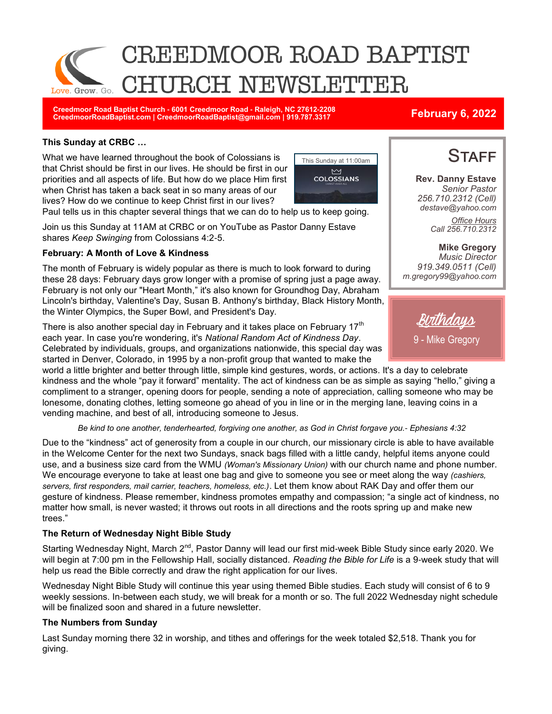

**Creedmoor Road Baptist Church - 6001 Creedmoor Road - Raleigh, NC 27612-2208 CreedmoorRoadBaptist.com | CreedmoorRoadBaptist@gmail.com | 919.787.3317 February 6, 2022**

### **This Sunday at CRBC …**

What we have learned throughout the book of Colossians is that Christ should be first in our lives. He should be first in our priorities and all aspects of life. But how do we place Him first when Christ has taken a back seat in so many areas of our lives? How do we continue to keep Christ first in our lives?



Paul tells us in this chapter several things that we can do to help us to keep going.

Join us this Sunday at 11AM at CRBC or on YouTube as Pastor Danny Estave shares *Keep Swinging* from Colossians 4:2-5.

#### **February: A Month of Love & Kindness**

The month of February is widely popular as there is much to look forward to during these 28 days: February days grow longer with a promise of spring just a page away. February is not only our "Heart Month," it's also known for Groundhog Day, Abraham Lincoln's birthday, Valentine's Day, Susan B. Anthony's birthday, Black History Month, the Winter Olympics, the Super Bowl, and President's Day.

There is also another special day in February and it takes place on February  $17<sup>th</sup>$ each year. In case you're wondering, it's *National Random Act of Kindness Day*. Celebrated by individuals, groups, and organizations nationwide, this special day was started in Denver, Colorado, in 1995 by a non-profit group that wanted to make the

world a little brighter and better through little, simple kind gestures, words, or actions. It's a day to celebrate kindness and the whole "pay it forward" mentality. The act of kindness can be as simple as saying "hello," giving a compliment to a stranger, opening doors for people, sending a note of appreciation, calling someone who may be lonesome, donating clothes, letting someone go ahead of you in line or in the merging lane, leaving coins in a vending machine, and best of all, introducing someone to Jesus.

*Be kind to one another, tenderhearted, forgiving one another, as God in Christ forgave you.- Ephesians 4:32*

Due to the "kindness" act of generosity from a couple in our church, our missionary circle is able to have available in the Welcome Center for the next two Sundays, snack bags filled with a little candy, helpful items anyone could use, and a business size card from the WMU *(Woman's Missionary Union)* with our church name and phone number. We encourage everyone to take at least one bag and give to someone you see or meet along the way *(cashiers, servers, first responders, mail carrier, teachers, homeless, etc.)*. Let them know about RAK Day and offer them our gesture of kindness. Please remember, kindness promotes empathy and compassion; "a single act of kindness, no matter how small, is never wasted; it throws out roots in all directions and the roots spring up and make new trees."

### **The Return of Wednesday Night Bible Study**

Starting Wednesday Night, March 2<sup>nd</sup>, Pastor Danny will lead our first mid-week Bible Study since early 2020. We will begin at 7:00 pm in the Fellowship Hall, socially distanced. *Reading the Bible for Life* is a 9-week study that will help us read the Bible correctly and draw the right application for our lives.

Wednesday Night Bible Study will continue this year using themed Bible studies. Each study will consist of 6 to 9 weekly sessions. In-between each study, we will break for a month or so. The full 2022 Wednesday night schedule will be finalized soon and shared in a future newsletter.

#### **The Numbers from Sunday**

Last Sunday morning there 32 in worship, and tithes and offerings for the week totaled \$2,518. Thank you for giving.



**Rev. Danny Estave** *Senior Pastor 256.710.2312 (Cell) destave@yahoo.com Office Hours Call 256.710.2312* 

**Mike Gregory** *Music Director 919.349.0511 (Cell) m.gregory99@yahoo.com* 

Birthdays 9 - Mike Gregory